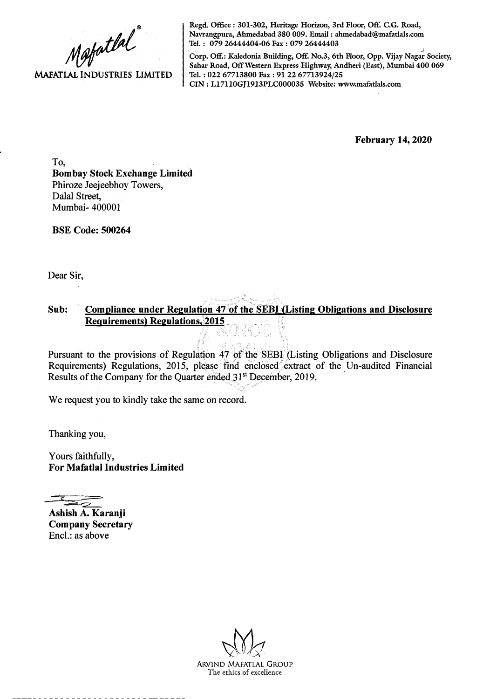

**Regd. Office: 301-302, Heritage Horizon, 3rd Floor, Off. C.G. Road, Navrangpura, Ahmedabad 380 009. Email : ahmedabad@mafatlals.com Tel. : 079 26444404-06 Fax : 079 26444403** 

**Corp. Off.: Kaledonia Building, Off. No.3, 6th Floor, Opp. Vijay Nagar Society, Sahar Road, Off Western Express Highway, Andheri (East), Mumbai 400 069 Tel. : 022 67713800 Fax : 91 22 67713924/25 CIN: Ll7110GJ1913PLC000035 Website: www.mafatlals.com** 

**February 14, 2020** 

To, **Bombay Stock Exchange Limited**  Phiroze Jeejeebhoy Towers, Dalal Street, Mumbai- 400001

**BSE Code: 500264** 

Dear Sir,

## Sub: Compliance under Regulation 47 of the SEBI (Listing Obligations and Disclosure **Requirements) Regulations,,2015**

Pursuant to the provisions of Regulation 47 of the SEBI (Listing Obligations and Disclosure Requirements) Regulations, 2015, please find enclosed extract of the Un-audited Financial Results of the Company for the Quarter ended 31<sup>st</sup> December, 2019.

We request you to kindly take the same on record.

Thanking you,

Yours faithfully, **For Mafatlal Industries Limited** 

-- *?* :::::, :z:==

**Ashish A. Karanji Company Secretary**  Encl.: as above



ARVIND MAFATLAL GROUP The ethics of excellence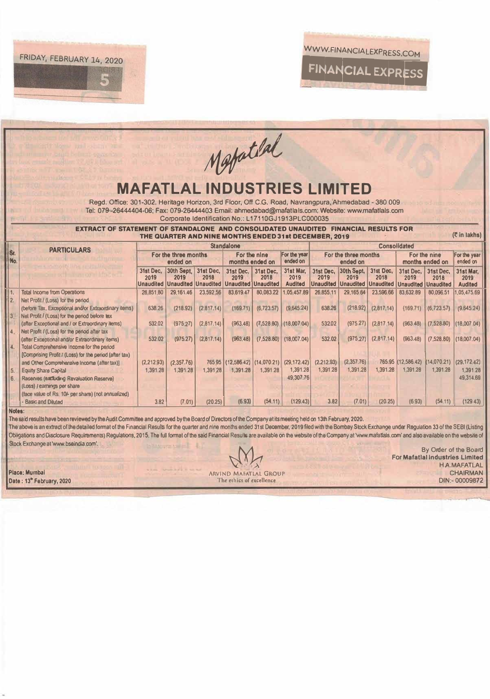



|                                                                                                                                                                                                                   | Mapatlal                                                                            |                        |                                                           |            |                              |                 |                                            |            |                                      |            |                                |             |                |
|-------------------------------------------------------------------------------------------------------------------------------------------------------------------------------------------------------------------|-------------------------------------------------------------------------------------|------------------------|-----------------------------------------------------------|------------|------------------------------|-----------------|--------------------------------------------|------------|--------------------------------------|------------|--------------------------------|-------------|----------------|
|                                                                                                                                                                                                                   |                                                                                     |                        |                                                           |            |                              |                 |                                            |            |                                      |            |                                |             |                |
|                                                                                                                                                                                                                   |                                                                                     |                        |                                                           |            |                              |                 |                                            |            |                                      |            |                                |             |                |
|                                                                                                                                                                                                                   |                                                                                     |                        |                                                           |            |                              |                 |                                            |            |                                      |            |                                |             |                |
|                                                                                                                                                                                                                   |                                                                                     |                        |                                                           |            |                              |                 |                                            |            |                                      |            |                                |             |                |
| <b>MAFATLAL INDUSTRIES LIMITED</b>                                                                                                                                                                                |                                                                                     |                        |                                                           |            |                              |                 |                                            |            |                                      |            |                                |             |                |
| Regd. Office: 301-302, Heritage Horizon, 3rd Floor, Off C.G. Road, Navrangpura, Ahmedabad - 380 009                                                                                                               |                                                                                     |                        |                                                           |            |                              |                 |                                            |            |                                      |            |                                |             |                |
| Tel: 079-26444404-06; Fax: 079-26444403 Email: ahmedabad@mafatlals.com; Website: www.mafatlals.com                                                                                                                |                                                                                     |                        |                                                           |            |                              |                 |                                            |            |                                      |            |                                |             |                |
|                                                                                                                                                                                                                   | Corporate Identification No.: L17110GJ1913PLC000035                                 |                        |                                                           |            |                              |                 |                                            |            |                                      |            |                                |             |                |
|                                                                                                                                                                                                                   | EXTRACT OF STATEMENT OF STANDALONE AND CONSOLIDATED UNAUDITED FINANCIAL RESULTS FOR |                        |                                                           |            |                              |                 |                                            |            |                                      |            |                                |             |                |
| (₹ in lakhs)<br>THE QUARTER AND NINE MONTHS ENDED 31st DECEMBER, 2019                                                                                                                                             |                                                                                     |                        |                                                           |            |                              |                 |                                            |            |                                      |            |                                |             |                |
|                                                                                                                                                                                                                   | <b>Standalone</b><br><b>Consolidated</b>                                            |                        |                                                           |            |                              |                 |                                            |            |                                      |            |                                |             |                |
| Sr.                                                                                                                                                                                                               | <b>PARTICULARS</b>                                                                  | For the three months   |                                                           |            | For the nine<br>For the year |                 |                                            |            | For the three months                 |            | For the nine                   |             | For the year   |
| No.                                                                                                                                                                                                               |                                                                                     | ended on               |                                                           |            |                              | months ended on | ended on                                   |            | ended on                             |            | months ended on                |             | ended on       |
|                                                                                                                                                                                                                   |                                                                                     |                        | 31st Dec, 30th Sept,                                      | 31st Dec,  | 31st Dec.                    | 31st Dec.       | 31st Mar,                                  | 31st Dec.  | 30th Sept,                           | 31st Dec.  | 31st Dec.                      | 31st Dec.   | 31st Mar.      |
|                                                                                                                                                                                                                   |                                                                                     | 2019                   | 2019                                                      | 2018       | 2019                         | 2018            | 2019                                       | 2019       | 2019                                 | 2018       | 2019                           | 2018        | 2019           |
|                                                                                                                                                                                                                   |                                                                                     |                        | Unaudited   Unaudited   Unaudited   Unaudited   Unaudited |            |                              |                 | <b>Audited</b>                             |            | <b>Unaudited Unaudited Unaudited</b> |            | <b>Unaudited Unaudited</b>     |             | <b>Audited</b> |
| 11.<br>2.                                                                                                                                                                                                         | <b>Total Income from Operations</b><br>Net Profit / (Loss) for the period           | 26,851.80              | 29,161.46                                                 | 23,592.56  | 83,619.47                    | 80,083.22       | 1.05.457.89                                | 26,855.11  | 29,165.64                            | 23,596.66  | 83,632.89                      | 80,096.51   | 05,475.69      |
|                                                                                                                                                                                                                   | (before Tax, Exceptional and/or Extraordinary items)                                | 638.26                 | (218.92)                                                  | (2.817.14) | (169.71)                     | (6,723.57)      | (9,645.24)                                 | 638.26     | (218.92)                             | (2,817.14) | (169.71)                       | (6, 723.57) | (9,645.24)     |
| $\vert 3 \vert$                                                                                                                                                                                                   | Net Profit / (Loss) for the period before tax                                       |                        |                                                           |            |                              |                 |                                            |            |                                      |            |                                |             |                |
|                                                                                                                                                                                                                   | (after Exceptional and / or Extraordinary items)                                    | 532.02                 | (975.27)                                                  | (2,817.14) | (963.48)                     | (7,528.80)      | (18,007.04)                                | 532.02     | (975.27)                             | (2,817,14) | (963.48)                       | (7,528.80)  | (18,007,04)    |
| $\ddot{4}$                                                                                                                                                                                                        | Net Profit / (Loss) for the period after tax                                        |                        |                                                           |            |                              |                 |                                            |            |                                      |            |                                |             |                |
|                                                                                                                                                                                                                   | (after Exceptional and/or Extraordinary items)                                      | 532.02                 | (975.27)                                                  | (2,817.14) | (963.48)                     | (7,528.80)      | (18,007.04)                                | 532.02     | (975.27)                             | (2,817.14) | (963, 48)                      | (7,528.80)  | (18,007.04)    |
| 4.                                                                                                                                                                                                                | Total Comprehensive Income for the period                                           |                        |                                                           |            |                              |                 |                                            |            |                                      |            |                                |             |                |
|                                                                                                                                                                                                                   | [Comprising Profit / (Loss) for the period (after tax)                              |                        |                                                           |            |                              |                 | 765 95 (12,586.42) (14,070.21) (29,172.42) | (2,212.93) | (2,357.76)                           |            | 765.95 (12,586.42) (14,070.21) |             | (29, 172.42)   |
| 5.                                                                                                                                                                                                                | and Other Comprehensive Income (after tax)]<br><b>Equity Share Capital</b>          | (2,212.93)<br>1,391.28 | (2,357.76)<br>1,391.28                                    | 1.391.28   | 1,391.28                     | 1.391.28        | 1,391.28                                   | 1.391.28   | 1,391.28                             | 1.391.28   | 1.391.28                       | 1.391.28    | 1.391.28       |
| 6.                                                                                                                                                                                                                | Reserves (excluding Revaluation Reserve)                                            |                        |                                                           |            |                              |                 | 49.307.76                                  |            |                                      |            |                                |             | 49.314.69      |
|                                                                                                                                                                                                                   | (Loss) / earnings per share                                                         |                        |                                                           |            |                              |                 |                                            |            |                                      |            |                                |             |                |
|                                                                                                                                                                                                                   | (face value of Rs. 10/- per share) (not annualized)                                 |                        |                                                           |            |                              |                 |                                            |            |                                      |            |                                |             |                |
|                                                                                                                                                                                                                   | <b>Basic and Diluted</b>                                                            | 3.82                   | (7.01)                                                    | (20.25)    | (6.93)                       | (54.11)         | (129.43)                                   | 3.82       | (7.01)                               | (20.25)    | (6.93)                         | (54.11)     | (129.43)       |
| Notes:                                                                                                                                                                                                            |                                                                                     |                        |                                                           |            |                              |                 |                                            |            |                                      |            |                                |             |                |
| The said results have been reviewed by the Audit Committee and approved by the Board of Directors of the Company at its meeting held on 13th February, 2020.                                                      |                                                                                     |                        |                                                           |            |                              |                 |                                            |            |                                      |            |                                |             |                |
| The above is an extract of the detailed format of the Financial Results for the quarter and nine months ended 31st December, 2019 filed with the Bombay Stock Exchange under Regulation 33 of the SEBI (Listing   |                                                                                     |                        |                                                           |            |                              |                 |                                            |            |                                      |            |                                |             |                |
| Obligations and Disclosure Requirements) Requlations, 2015. The full format of the said Financial Results are available on the website of the Company at 'www.mafatfals.com' and also available on the website of |                                                                                     |                        |                                                           |            |                              |                 |                                            |            |                                      |            |                                |             |                |
| Stock Exchange at 'www.bseindia.com'.<br>By Order of the Board                                                                                                                                                    |                                                                                     |                        |                                                           |            |                              |                 |                                            |            |                                      |            |                                |             |                |
|                                                                                                                                                                                                                   | <b>For Mafatlal Industries Limited</b>                                              |                        |                                                           |            |                              |                 |                                            |            |                                      |            |                                |             |                |
| <b>H.A.MAFATLAL</b>                                                                                                                                                                                               |                                                                                     |                        |                                                           |            |                              |                 |                                            |            |                                      |            |                                |             |                |
| Place: Mumbai<br><b>CHAIRMAN</b><br>ARVIND MAFATLAL GROUP                                                                                                                                                         |                                                                                     |                        |                                                           |            |                              |                 |                                            |            |                                      |            |                                |             |                |

Date: 13<sup>th</sup> February, 2020

The ethics of excellence

DIN:- 00009872